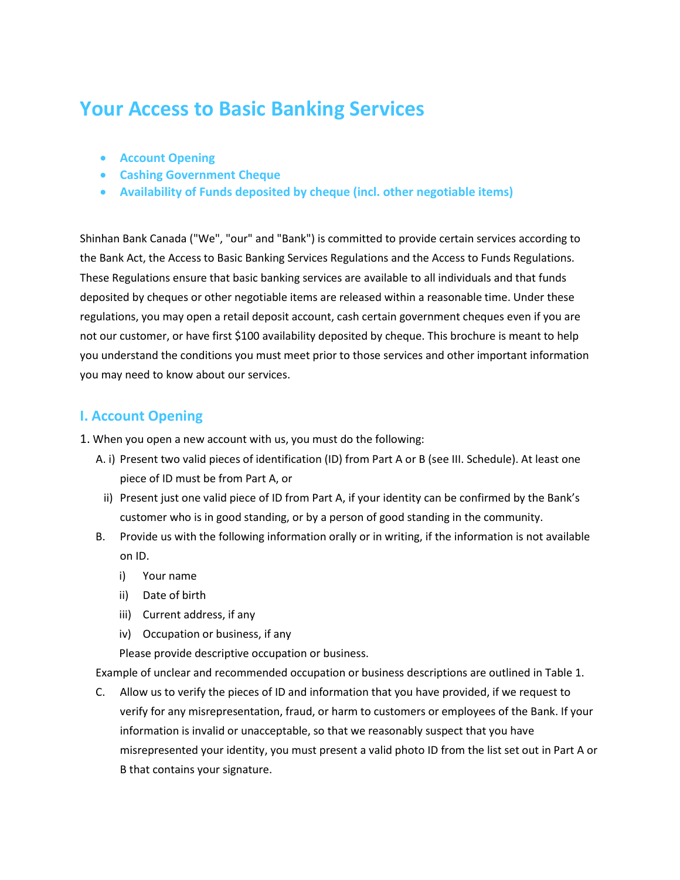# **Your Access to Basic Banking Services**

- **Account Opening**
- **Cashing Government Cheque**
- **Availability of Funds deposited by cheque (incl. other negotiable items)**

Shinhan Bank Canada ("We", "our" and "Bank") is committed to provide certain services according to the Bank Act, the Access to Basic Banking Services Regulations and the Access to Funds Regulations. These Regulations ensure that basic banking services are available to all individuals and that funds deposited by cheques or other negotiable items are released within a reasonable time. Under these regulations, you may open a retail deposit account, cash certain government cheques even if you are not our customer, or have first \$100 availability deposited by cheque. This brochure is meant to help you understand the conditions you must meet prior to those services and other important information you may need to know about our services.

## **I. Account Opening**

- 1. When you open a new account with us, you must do the following:
	- A. i) Present two valid pieces of identification (ID) from Part A or B (see III. Schedule). At least one piece of ID must be from Part A, or
		- ii) Present just one valid piece of ID from Part A, if your identity can be confirmed by the Bank's customer who is in good standing, or by a person of good standing in the community.
	- B. Provide us with the following information orally or in writing, if the information is not available on ID.
		- i) Your name
		- ii) Date of birth
		- iii) Current address, if any
		- iv) Occupation or business, if any

Please provide descriptive occupation or business.

Example of unclear and recommended occupation or business descriptions are outlined in Table 1.

C. Allow us to verify the pieces of ID and information that you have provided, if we request to verify for any misrepresentation, fraud, or harm to customers or employees of the Bank. If your information is invalid or unacceptable, so that we reasonably suspect that you have misrepresented your identity, you must present a valid photo ID from the list set out in Part A or B that contains your signature.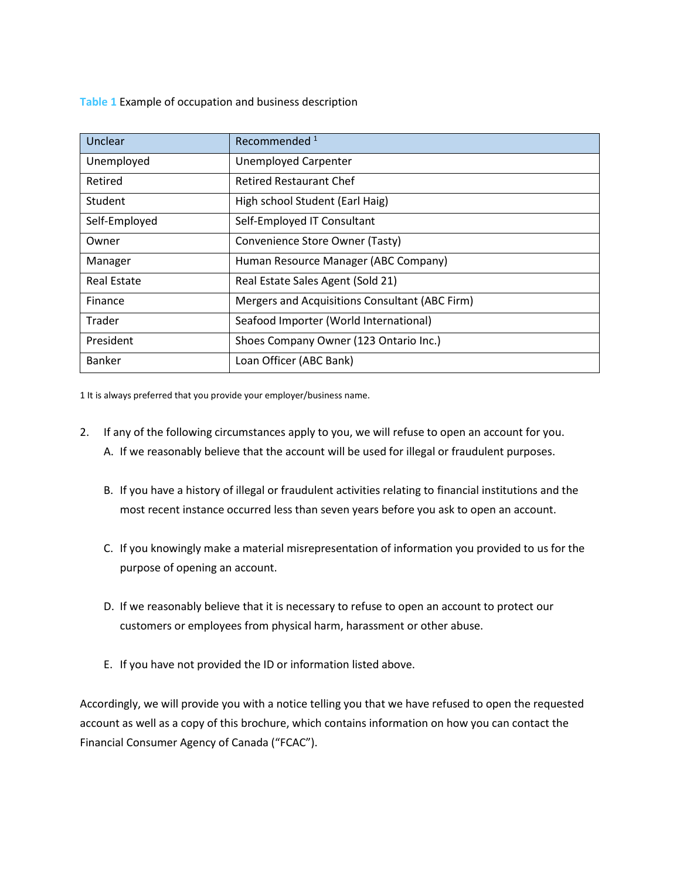**Table 1** Example of occupation and business description

| Unclear            | Recommended <sup>1</sup>                       |
|--------------------|------------------------------------------------|
| Unemployed         | <b>Unemployed Carpenter</b>                    |
| Retired            | <b>Retired Restaurant Chef</b>                 |
| Student            | High school Student (Earl Haig)                |
| Self-Employed      | Self-Employed IT Consultant                    |
| Owner              | Convenience Store Owner (Tasty)                |
| Manager            | Human Resource Manager (ABC Company)           |
| <b>Real Estate</b> | Real Estate Sales Agent (Sold 21)              |
| Finance            | Mergers and Acquisitions Consultant (ABC Firm) |
| Trader             | Seafood Importer (World International)         |
| President          | Shoes Company Owner (123 Ontario Inc.)         |
| <b>Banker</b>      | Loan Officer (ABC Bank)                        |

1 It is always preferred that you provide your employer/business name.

- 2. If any of the following circumstances apply to you, we will refuse to open an account for you. A. If we reasonably believe that the account will be used for illegal or fraudulent purposes.
	- B. If you have a history of illegal or fraudulent activities relating to financial institutions and the most recent instance occurred less than seven years before you ask to open an account.
	- C. If you knowingly make a material misrepresentation of information you provided to us for the purpose of opening an account.
	- D. If we reasonably believe that it is necessary to refuse to open an account to protect our customers or employees from physical harm, harassment or other abuse.
	- E. If you have not provided the ID or information listed above.

Accordingly, we will provide you with a notice telling you that we have refused to open the requested account as well as a copy of this brochure, which contains information on how you can contact the Financial Consumer Agency of Canada ("FCAC").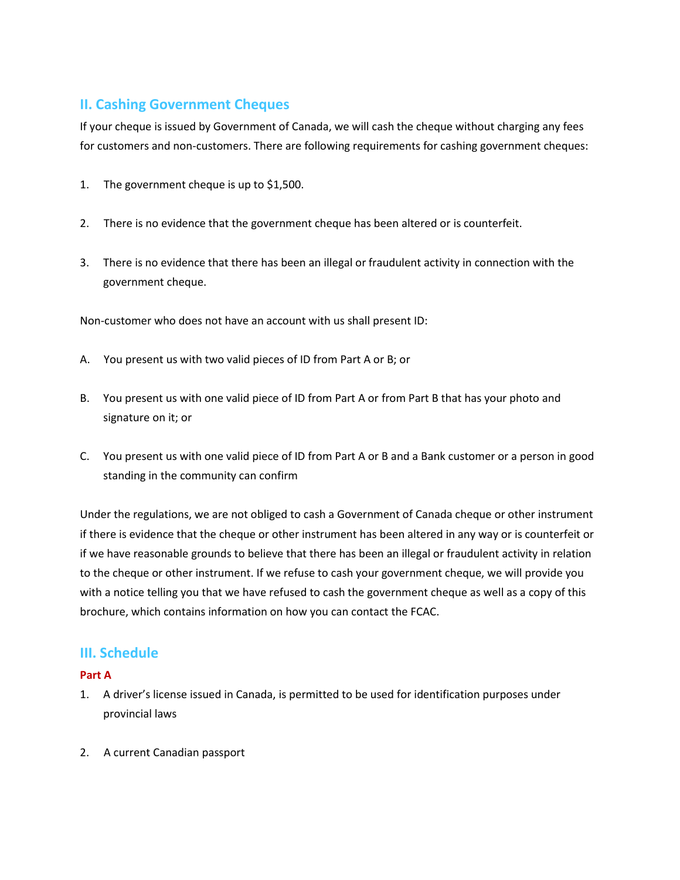# **II. Cashing Government Cheques**

If your cheque is issued by Government of Canada, we will cash the cheque without charging any fees for customers and non-customers. There are following requirements for cashing government cheques:

- 1. The government cheque is up to \$1,500.
- 2. There is no evidence that the government cheque has been altered or is counterfeit.
- 3. There is no evidence that there has been an illegal or fraudulent activity in connection with the government cheque.

Non-customer who does not have an account with us shall present ID:

- A. You present us with two valid pieces of ID from Part A or B; or
- B. You present us with one valid piece of ID from Part A or from Part B that has your photo and signature on it; or
- C. You present us with one valid piece of ID from Part A or B and a Bank customer or a person in good standing in the community can confirm

Under the regulations, we are not obliged to cash a Government of Canada cheque or other instrument if there is evidence that the cheque or other instrument has been altered in any way or is counterfeit or if we have reasonable grounds to believe that there has been an illegal or fraudulent activity in relation to the cheque or other instrument. If we refuse to cash your government cheque, we will provide you with a notice telling you that we have refused to cash the government cheque as well as a copy of this brochure, which contains information on how you can contact the FCAC.

## **III. Schedule**

#### **Part A**

- 1. A driver's license issued in Canada, is permitted to be used for identification purposes under provincial laws
- 2. A current Canadian passport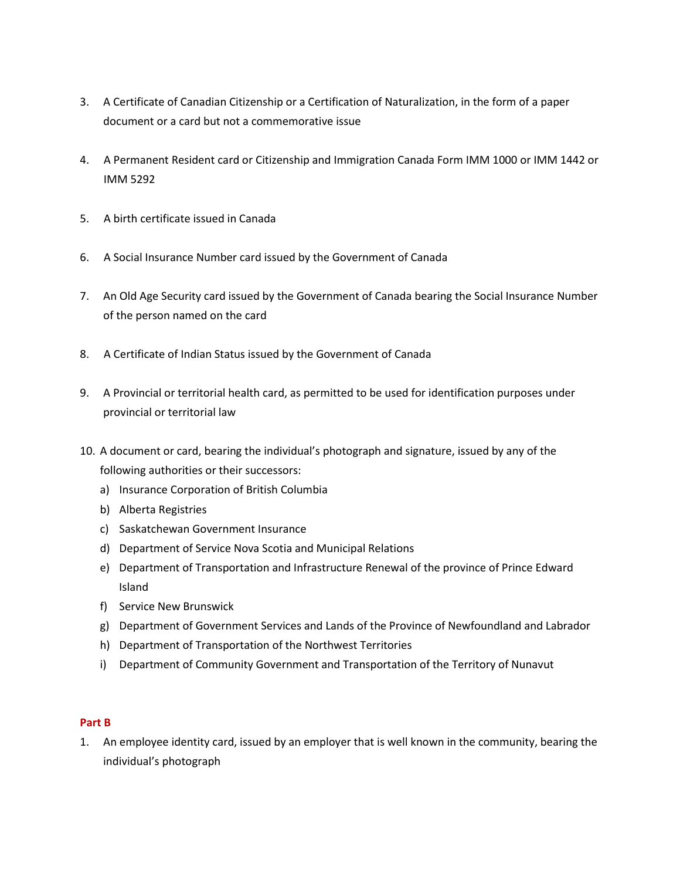- 3. A Certificate of Canadian Citizenship or a Certification of Naturalization, in the form of a paper document or a card but not a commemorative issue
- 4. A Permanent Resident card or Citizenship and Immigration Canada Form IMM 1000 or IMM 1442 or IMM 5292
- 5. A birth certificate issued in Canada
- 6. A Social Insurance Number card issued by the Government of Canada
- 7. An Old Age Security card issued by the Government of Canada bearing the Social Insurance Number of the person named on the card
- 8. A Certificate of Indian Status issued by the Government of Canada
- 9. A Provincial or territorial health card, as permitted to be used for identification purposes under provincial or territorial law
- 10. A document or card, bearing the individual's photograph and signature, issued by any of the following authorities or their successors:
	- a) Insurance Corporation of British Columbia
	- b) Alberta Registries
	- c) Saskatchewan Government Insurance
	- d) Department of Service Nova Scotia and Municipal Relations
	- e) Department of Transportation and Infrastructure Renewal of the province of Prince Edward Island
	- f) Service New Brunswick
	- g) Department of Government Services and Lands of the Province of Newfoundland and Labrador
	- h) Department of Transportation of the Northwest Territories
	- i) Department of Community Government and Transportation of the Territory of Nunavut

#### **Part B**

1. An employee identity card, issued by an employer that is well known in the community, bearing the individual's photograph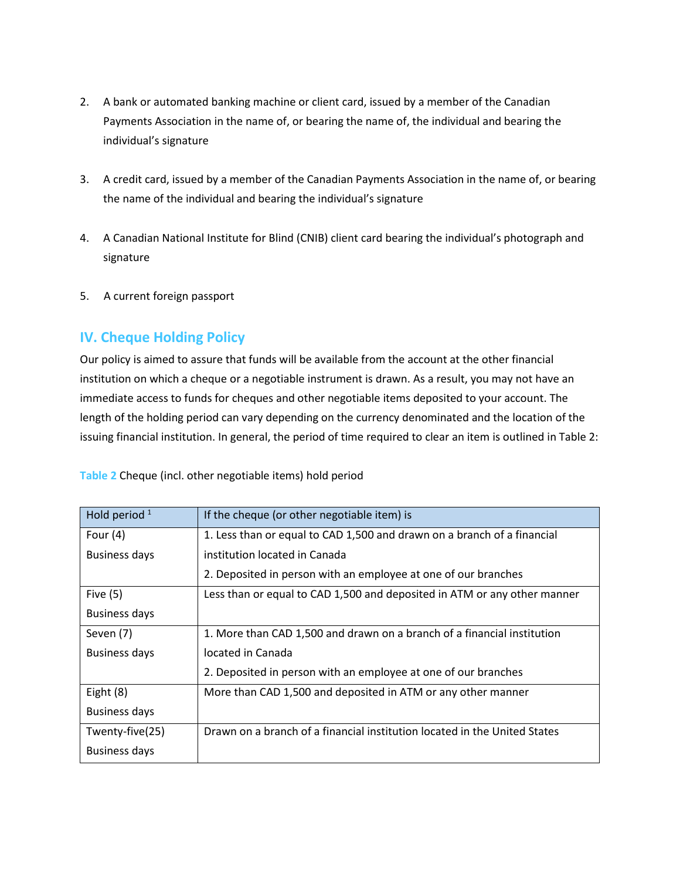- 2. A bank or automated banking machine or client card, issued by a member of the Canadian Payments Association in the name of, or bearing the name of, the individual and bearing the individual's signature
- 3. A credit card, issued by a member of the Canadian Payments Association in the name of, or bearing the name of the individual and bearing the individual's signature
- 4. A Canadian National Institute for Blind (CNIB) client card bearing the individual's photograph and signature
- 5. A current foreign passport

# **IV. Cheque Holding Policy**

Our policy is aimed to assure that funds will be available from the account at the other financial institution on which a cheque or a negotiable instrument is drawn. As a result, you may not have an immediate access to funds for cheques and other negotiable items deposited to your account. The length of the holding period can vary depending on the currency denominated and the location of the issuing financial institution. In general, the period of time required to clear an item is outlined in Table 2:

| Hold period $1$      | If the cheque (or other negotiable item) is                               |
|----------------------|---------------------------------------------------------------------------|
| Four $(4)$           | 1. Less than or equal to CAD 1,500 and drawn on a branch of a financial   |
| <b>Business days</b> | institution located in Canada                                             |
|                      | 2. Deposited in person with an employee at one of our branches            |
| Five $(5)$           | Less than or equal to CAD 1,500 and deposited in ATM or any other manner  |
| <b>Business days</b> |                                                                           |
| Seven (7)            | 1. More than CAD 1,500 and drawn on a branch of a financial institution   |
| <b>Business days</b> | located in Canada                                                         |
|                      | 2. Deposited in person with an employee at one of our branches            |
| Eight (8)            | More than CAD 1,500 and deposited in ATM or any other manner              |
| <b>Business days</b> |                                                                           |
| Twenty-five(25)      | Drawn on a branch of a financial institution located in the United States |
| <b>Business days</b> |                                                                           |

**Table 2** Cheque (incl. other negotiable items) hold period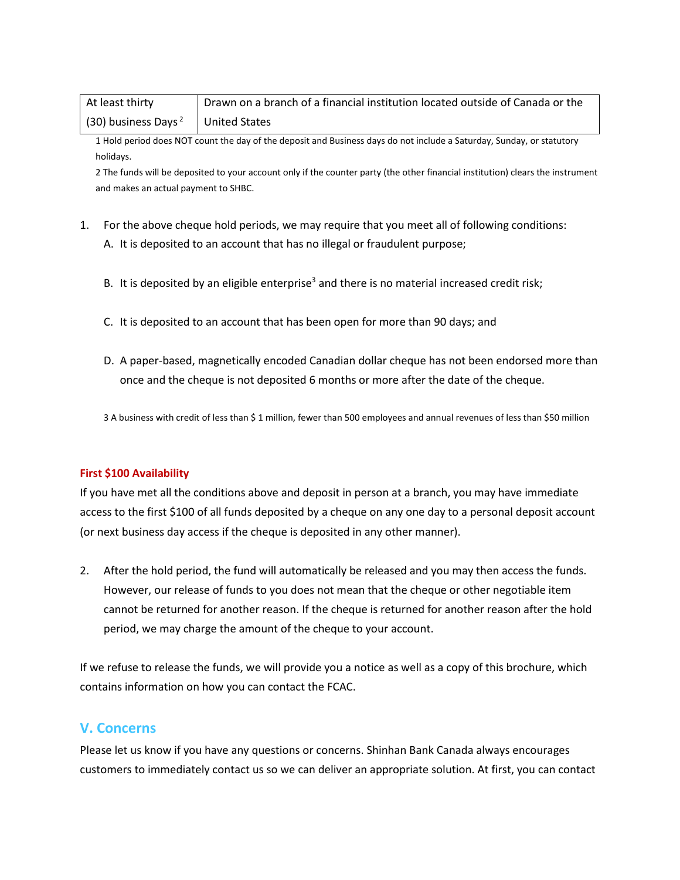| At least thirty                               | Drawn on a branch of a financial institution located outside of Canada or the |
|-----------------------------------------------|-------------------------------------------------------------------------------|
| (30) business Days <sup>2</sup> United States |                                                                               |

1 Hold period does NOT count the day of the deposit and Business days do not include a Saturday, Sunday, or statutory holidays.

2 The funds will be deposited to your account only if the counter party (the other financial institution) clears the instrument and makes an actual payment to SHBC.

- 1. For the above cheque hold periods, we may require that you meet all of following conditions:
	- A. It is deposited to an account that has no illegal or fraudulent purpose;
	- B. It is deposited by an eligible enterprise<sup>3</sup> and there is no material increased credit risk;
	- C. It is deposited to an account that has been open for more than 90 days; and
	- D. A paper-based, magnetically encoded Canadian dollar cheque has not been endorsed more than once and the cheque is not deposited 6 months or more after the date of the cheque.

3 A business with credit of less than \$ 1 million, fewer than 500 employees and annual revenues of less than \$50 million

#### **First \$100 Availability**

If you have met all the conditions above and deposit in person at a branch, you may have immediate access to the first \$100 of all funds deposited by a cheque on any one day to a personal deposit account (or next business day access if the cheque is deposited in any other manner).

2. After the hold period, the fund will automatically be released and you may then access the funds. However, our release of funds to you does not mean that the cheque or other negotiable item cannot be returned for another reason. If the cheque is returned for another reason after the hold period, we may charge the amount of the cheque to your account.

If we refuse to release the funds, we will provide you a notice as well as a copy of this brochure, which contains information on how you can contact the FCAC.

## **V. Concerns**

Please let us know if you have any questions or concerns. Shinhan Bank Canada always encourages customers to immediately contact us so we can deliver an appropriate solution. At first, you can contact